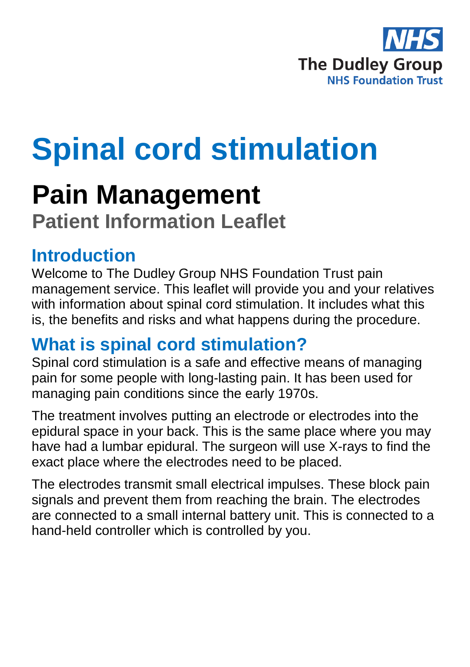

# **Spinal cord stimulation**

## **Pain Management**

**Patient Information Leaflet**

### **Introduction**

Welcome to The Dudley Group NHS Foundation Trust pain management service. This leaflet will provide you and your relatives with information about spinal cord stimulation. It includes what this is, the benefits and risks and what happens during the procedure.

### **What is spinal cord stimulation?**

Spinal cord stimulation is a safe and effective means of managing pain for some people with long-lasting pain. It has been used for managing pain conditions since the early 1970s.

The treatment involves putting an electrode or electrodes into the epidural space in your back. This is the same place where you may have had a lumbar epidural. The surgeon will use X-rays to find the exact place where the electrodes need to be placed.

The electrodes transmit small electrical impulses. These block pain signals and prevent them from reaching the brain. The electrodes are connected to a small internal battery unit. This is connected to a hand-held controller which is controlled by you.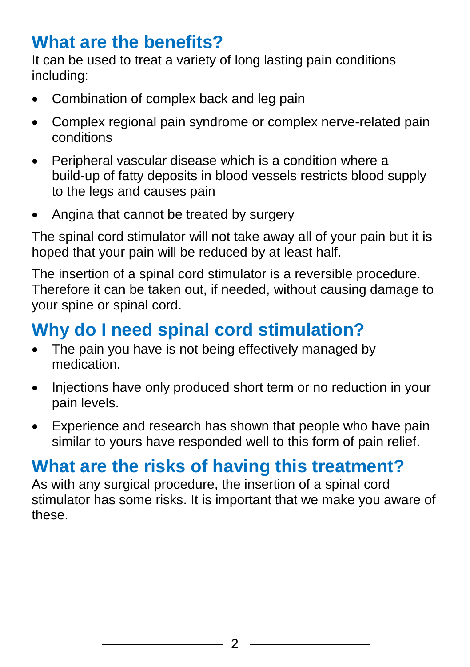### **What are the benefits?**

It can be used to treat a variety of long lasting pain conditions including:

- Combination of complex back and leg pain
- Complex regional pain syndrome or complex nerve-related pain conditions
- Peripheral vascular disease which is a condition where a build-up of fatty deposits in blood vessels restricts blood supply to the legs and causes pain
- Angina that cannot be treated by surgery

The spinal cord stimulator will not take away all of your pain but it is hoped that your pain will be reduced by at least half.

The insertion of a spinal cord stimulator is a reversible procedure. Therefore it can be taken out, if needed, without causing damage to your spine or spinal cord.

### **Why do I need spinal cord stimulation?**

- The pain you have is not being effectively managed by medication.
- Injections have only produced short term or no reduction in your pain levels.
- Experience and research has shown that people who have pain similar to yours have responded well to this form of pain relief.

### **What are the risks of having this treatment?**

As with any surgical procedure, the insertion of a spinal cord stimulator has some risks. It is important that we make you aware of these.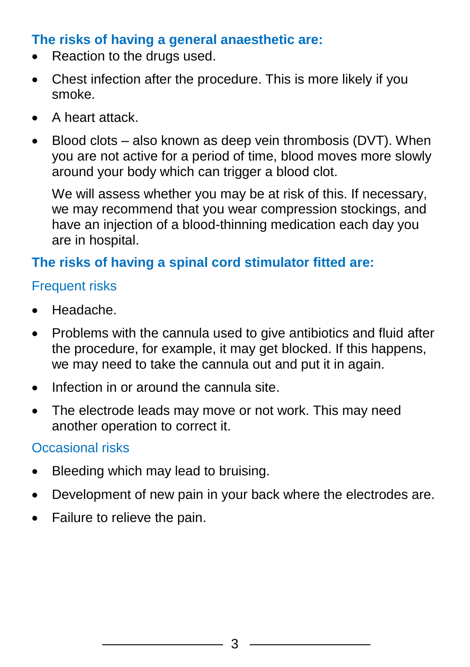#### **The risks of having a general anaesthetic are:**

- Reaction to the drugs used.
- Chest infection after the procedure. This is more likely if you smoke.
- A heart attack.
- $\bullet$  Blood clots also known as deep vein thrombosis (DVT). When you are not active for a period of time, blood moves more slowly around your body which can trigger a blood clot.

We will assess whether you may be at risk of this. If necessary, we may recommend that you wear compression stockings, and have an injection of a blood-thinning medication each day you are in hospital.

#### **The risks of having a spinal cord stimulator fitted are:**

#### Frequent risks

- Headache.
- Problems with the cannula used to give antibiotics and fluid after the procedure, for example, it may get blocked. If this happens, we may need to take the cannula out and put it in again.
- Infection in or around the cannula site.
- The electrode leads may move or not work. This may need another operation to correct it.

#### Occasional risks

- Bleeding which may lead to bruising.
- Development of new pain in your back where the electrodes are.
- Failure to relieve the pain.

3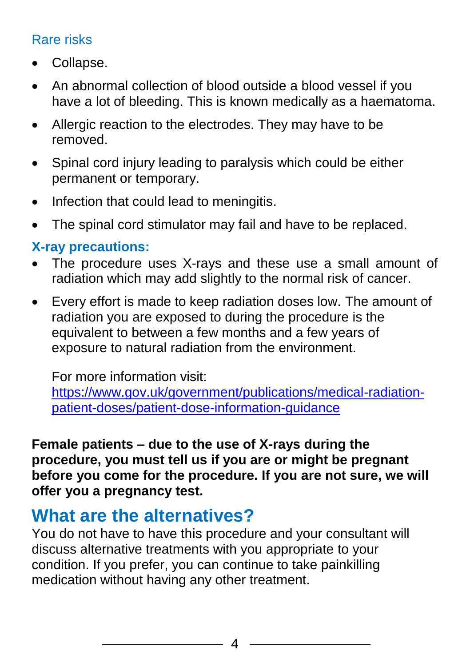#### Rare risks

- Collapse.
- An abnormal collection of blood outside a blood vessel if you have a lot of bleeding. This is known medically as a haematoma.
- Allergic reaction to the electrodes. They may have to be removed.
- Spinal cord injury leading to paralysis which could be either permanent or temporary.
- Infection that could lead to meningitis.
- The spinal cord stimulator may fail and have to be replaced.

#### **X-ray precautions:**

- The procedure uses X-rays and these use a small amount of radiation which may add slightly to the normal risk of cancer.
- Every effort is made to keep radiation doses low. The amount of radiation you are exposed to during the procedure is the equivalent to between a few months and a few years of exposure to natural radiation from the environment.

For more information visit:

[https://www.gov.uk/government/publications/medical-radiation](https://www.gov.uk/government/publications/medical-radiation-patient-doses/patient-dose-information-guidance)[patient-doses/patient-dose-information-guidance](https://www.gov.uk/government/publications/medical-radiation-patient-doses/patient-dose-information-guidance)

**Female patients – due to the use of X-rays during the procedure, you must tell us if you are or might be pregnant before you come for the procedure. If you are not sure, we will offer you a pregnancy test.**

### **What are the alternatives?**

You do not have to have this procedure and your consultant will discuss alternative treatments with you appropriate to your condition. If you prefer, you can continue to take painkilling medication without having any other treatment.

4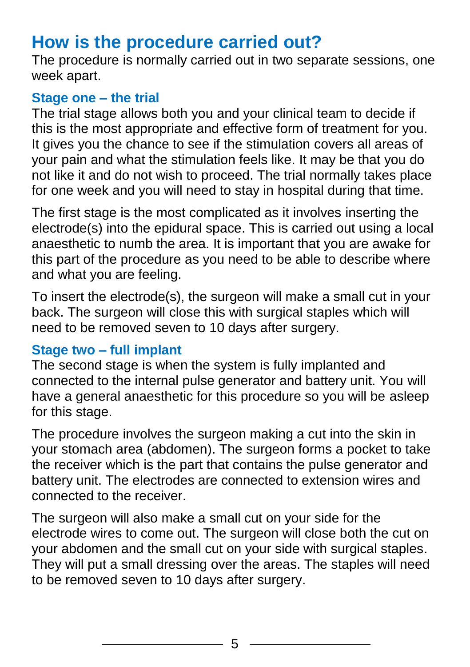### **How is the procedure carried out?**

The procedure is normally carried out in two separate sessions, one week apart.

#### **Stage one – the trial**

The trial stage allows both you and your clinical team to decide if this is the most appropriate and effective form of treatment for you. It gives you the chance to see if the stimulation covers all areas of your pain and what the stimulation feels like. It may be that you do not like it and do not wish to proceed. The trial normally takes place for one week and you will need to stay in hospital during that time.

The first stage is the most complicated as it involves inserting the electrode(s) into the epidural space. This is carried out using a local anaesthetic to numb the area. It is important that you are awake for this part of the procedure as you need to be able to describe where and what you are feeling.

To insert the electrode(s), the surgeon will make a small cut in your back. The surgeon will close this with surgical staples which will need to be removed seven to 10 days after surgery.

#### **Stage two – full implant**

The second stage is when the system is fully implanted and connected to the internal pulse generator and battery unit. You will have a general anaesthetic for this procedure so you will be asleep for this stage.

The procedure involves the surgeon making a cut into the skin in your stomach area (abdomen). The surgeon forms a pocket to take the receiver which is the part that contains the pulse generator and battery unit. The electrodes are connected to extension wires and connected to the receiver.

The surgeon will also make a small cut on your side for the electrode wires to come out. The surgeon will close both the cut on your abdomen and the small cut on your side with surgical staples. They will put a small dressing over the areas. The staples will need to be removed seven to 10 days after surgery.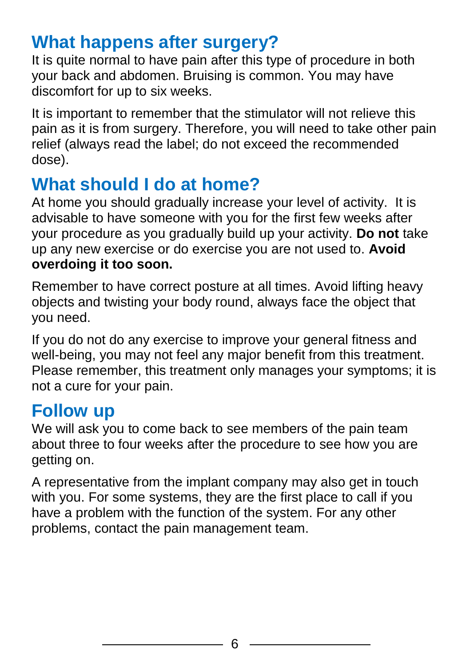### **What happens after surgery?**

It is quite normal to have pain after this type of procedure in both your back and abdomen. Bruising is common. You may have discomfort for up to six weeks.

It is important to remember that the stimulator will not relieve this pain as it is from surgery. Therefore, you will need to take other pain relief (always read the label; do not exceed the recommended dose).

### **What should I do at home?**

At home you should gradually increase your level of activity. It is advisable to have someone with you for the first few weeks after your procedure as you gradually build up your activity. **Do not** take up any new exercise or do exercise you are not used to. **Avoid overdoing it too soon.**

Remember to have correct posture at all times. Avoid lifting heavy objects and twisting your body round, always face the object that you need.

If you do not do any exercise to improve your general fitness and well-being, you may not feel any major benefit from this treatment. Please remember, this treatment only manages your symptoms; it is not a cure for your pain.

#### **Follow up**

We will ask you to come back to see members of the pain team about three to four weeks after the procedure to see how you are getting on.

A representative from the implant company may also get in touch with you. For some systems, they are the first place to call if you have a problem with the function of the system. For any other problems, contact the pain management team.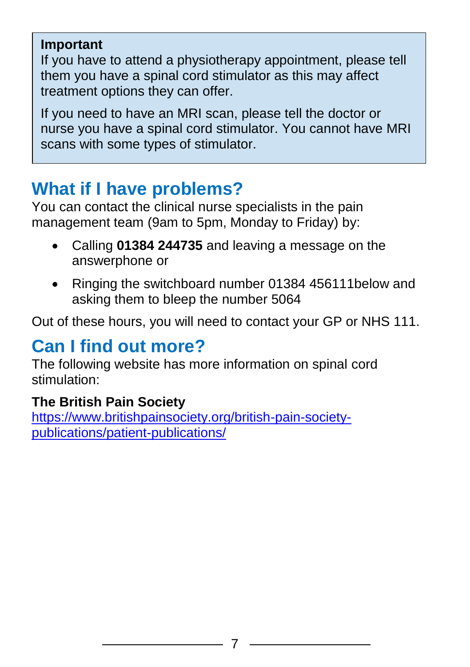#### **Important**

If you have to attend a physiotherapy appointment, please tell them you have a spinal cord stimulator as this may affect treatment options they can offer.

If you need to have an MRI scan, please tell the doctor or nurse you have a spinal cord stimulator. You cannot have MRI scans with some types of stimulator.

### **What if I have problems?**

You can contact the clinical nurse specialists in the pain management team (9am to 5pm, Monday to Friday) by:

- Calling **01384 244735** and leaving a message on the answerphone or
- Ringing the switchboard number 01384 456111 below and asking them to bleep the number 5064

Out of these hours, you will need to contact your GP or NHS 111.

### **Can I find out more?**

The following website has more information on spinal cord stimulation:

#### **The British Pain Society**

[https://www.britishpainsociety.org/british-pain-society](https://www.britishpainsociety.org/british-pain-society-publications/patient-publications/)[publications/patient-publications/](https://www.britishpainsociety.org/british-pain-society-publications/patient-publications/)